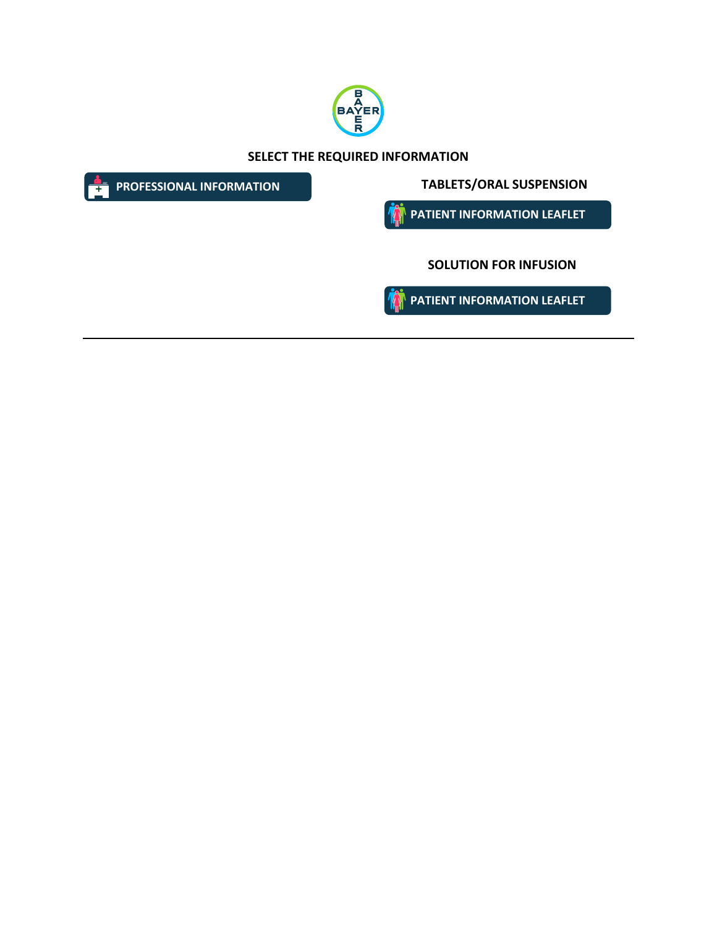

**SELECT THE REQUIRED INFORMATION**

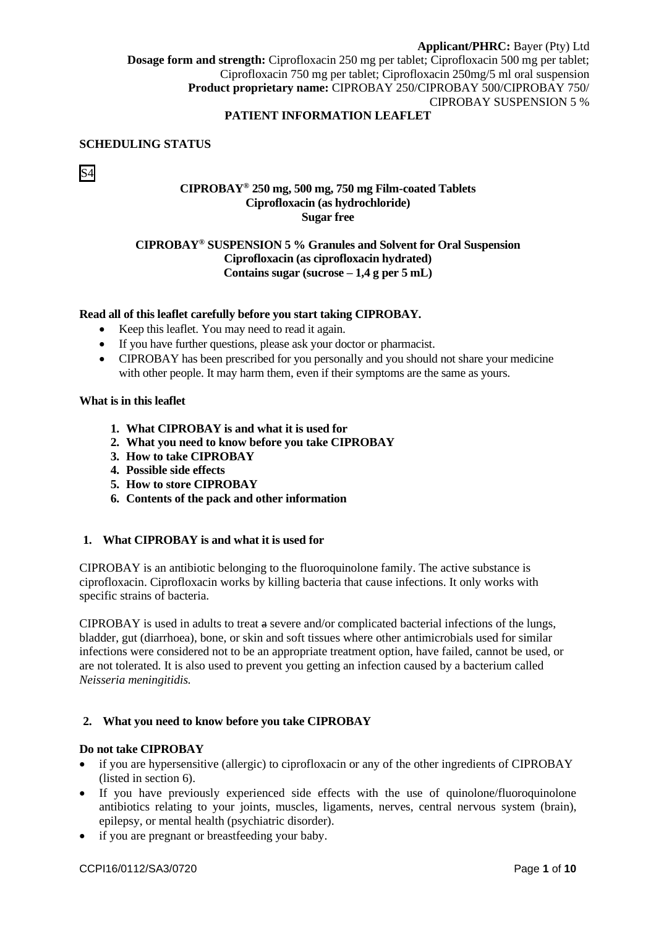# **PATIENT INFORMATION LEAFLET**

### **SCHEDULING STATUS**

# S4

# **CIPROBAY® 250 mg, 500 mg, 750 mg Film-coated Tablets Ciprofloxacin (as hydrochloride) Sugar free**

# **CIPROBAY® SUSPENSION 5 % Granules and Solvent for Oral Suspension Ciprofloxacin (as ciprofloxacin hydrated) Contains sugar (sucrose – 1,4 g per 5 mL)**

### **Read all of this leaflet carefully before you start taking CIPROBAY.**

- Keep this leaflet. You may need to read it again.
- If you have further questions, please ask your doctor or pharmacist.
- CIPROBAY has been prescribed for you personally and you should not share your medicine with other people. It may harm them, even if their symptoms are the same as yours.

#### **What is in this leaflet**

- **1. What CIPROBAY is and what it is used for**
- **2. What you need to know before you take CIPROBAY**
- **3. How to take CIPROBAY**
- **4. Possible side effects**
- **5. How to store CIPROBAY**
- **6. Contents of the pack and other information**

## **1. What CIPROBAY is and what it is used for**

CIPROBAY is an antibiotic belonging to the fluoroquinolone family. The active substance is ciprofloxacin. Ciprofloxacin works by killing bacteria that cause infections. It only works with specific strains of bacteria.

CIPROBAY is used in adults to treat a severe and/or complicated bacterial infections of the lungs, bladder, gut (diarrhoea), bone, or skin and soft tissues where other antimicrobials used for similar infections were considered not to be an appropriate treatment option, have failed, cannot be used, or are not tolerated. It is also used to prevent you getting an infection caused by a bacterium called *Neisseria meningitidis.*

### **2. What you need to know before you take CIPROBAY**

### **Do not take CIPROBAY**

- if you are hypersensitive (allergic) to ciprofloxacin or any of the other ingredients of CIPROBAY (listed in section 6).
- If you have previously experienced side effects with the use of quinolone/fluoroquinolone antibiotics relating to your joints, muscles, ligaments, nerves, central nervous system (brain), epilepsy, or mental health (psychiatric disorder).
- if you are pregnant or breastfeeding your baby.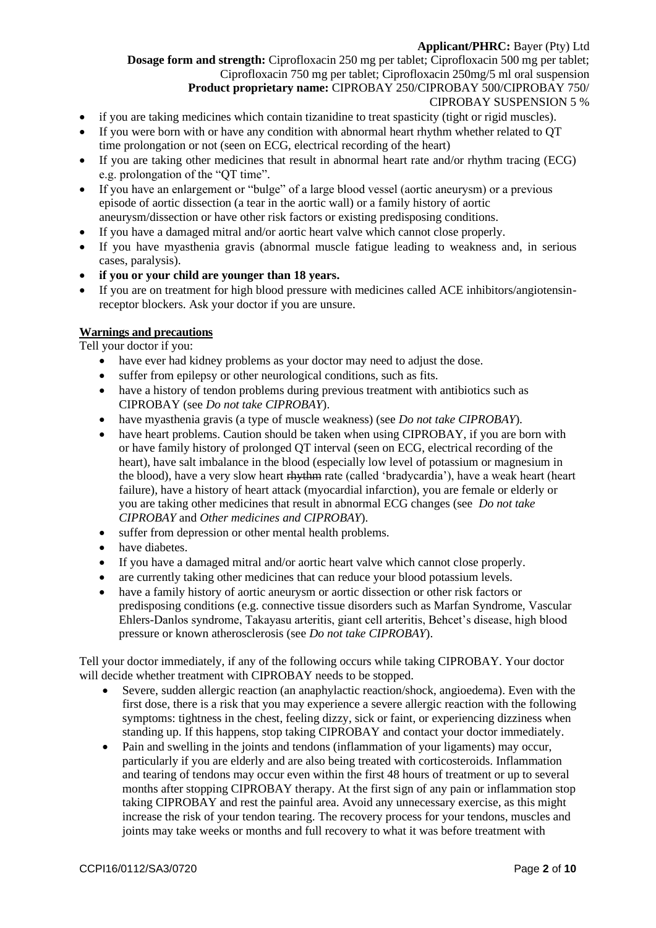**Dosage form and strength:** Ciprofloxacin 250 mg per tablet; Ciprofloxacin 500 mg per tablet; Ciprofloxacin 750 mg per tablet; Ciprofloxacin 250mg/5 ml oral suspension **Product proprietary name:** CIPROBAY 250/CIPROBAY 500/CIPROBAY 750/

### CIPROBAY SUSPENSION 5 %

- if you are taking medicines which contain tizanidine to treat spasticity (tight or rigid muscles).
- If you were born with or have any condition with abnormal heart rhythm whether related to OT time prolongation or not (seen on ECG, electrical recording of the heart)
- If you are taking other medicines that result in abnormal heart rate and/or rhythm tracing (ECG) e.g. prolongation of the "QT time".
- If you have an enlargement or "bulge" of a large blood vessel (aortic aneurysm) or a previous episode of aortic dissection (a tear in the aortic wall) or a family history of aortic aneurysm/dissection or have other risk factors or existing predisposing conditions.
- If you have a damaged mitral and/or aortic heart valve which cannot close properly.
- If you have myasthenia gravis (abnormal muscle fatigue leading to weakness and, in serious cases, paralysis).
- **if you or your child are younger than 18 years.**
- If you are on treatment for high blood pressure with medicines called ACE inhibitors/angiotensinreceptor blockers. Ask your doctor if you are unsure.

### **Warnings and precautions**

Tell your doctor if you:

- have ever had kidney problems as your doctor may need to adjust the dose.
- suffer from epilepsy or other neurological conditions, such as fits.
- have a history of tendon problems during previous treatment with antibiotics such as CIPROBAY (see *Do not take CIPROBAY*).
- have myasthenia gravis (a type of muscle weakness) (see *Do not take CIPROBAY*).
- have heart problems. Caution should be taken when using CIPROBAY, if you are born with or have family history of prolonged QT interval (seen on ECG, electrical recording of the heart), have salt imbalance in the blood (especially low level of potassium or magnesium in the blood), have a very slow heart rhythm rate (called 'bradycardia'), have a weak heart (heart failure), have a history of heart attack (myocardial infarction), you are female or elderly or you are taking other medicines that result in abnormal ECG changes (see *Do not take CIPROBAY* and *Other medicines and CIPROBAY*).
- suffer from depression or other mental health problems.
- have diabetes.
- If you have a damaged mitral and/or aortic heart valve which cannot close properly.
- are currently taking other medicines that can reduce your blood potassium levels.
- have a family history of aortic aneurysm or aortic dissection or other risk factors or predisposing conditions (e.g. connective tissue disorders such as Marfan Syndrome, Vascular Ehlers-Danlos syndrome, Takayasu arteritis, giant cell arteritis, Behcet's disease, high blood pressure or known atherosclerosis (see *Do not take CIPROBAY*).

Tell your doctor immediately, if any of the following occurs while taking CIPROBAY. Your doctor will decide whether treatment with CIPROBAY needs to be stopped.

- Severe, sudden allergic reaction (an anaphylactic reaction/shock, angioedema). Even with the first dose, there is a risk that you may experience a severe allergic reaction with the following symptoms: tightness in the chest, feeling dizzy, sick or faint, or experiencing dizziness when standing up. If this happens, stop taking CIPROBAY and contact your doctor immediately.
- Pain and swelling in the joints and tendons (inflammation of your ligaments) may occur, particularly if you are elderly and are also being treated with corticosteroids. Inflammation and tearing of tendons may occur even within the first 48 hours of treatment or up to several months after stopping CIPROBAY therapy. At the first sign of any pain or inflammation stop taking CIPROBAY and rest the painful area. Avoid any unnecessary exercise, as this might increase the risk of your tendon tearing. The recovery process for your tendons, muscles and joints may take weeks or months and full recovery to what it was before treatment with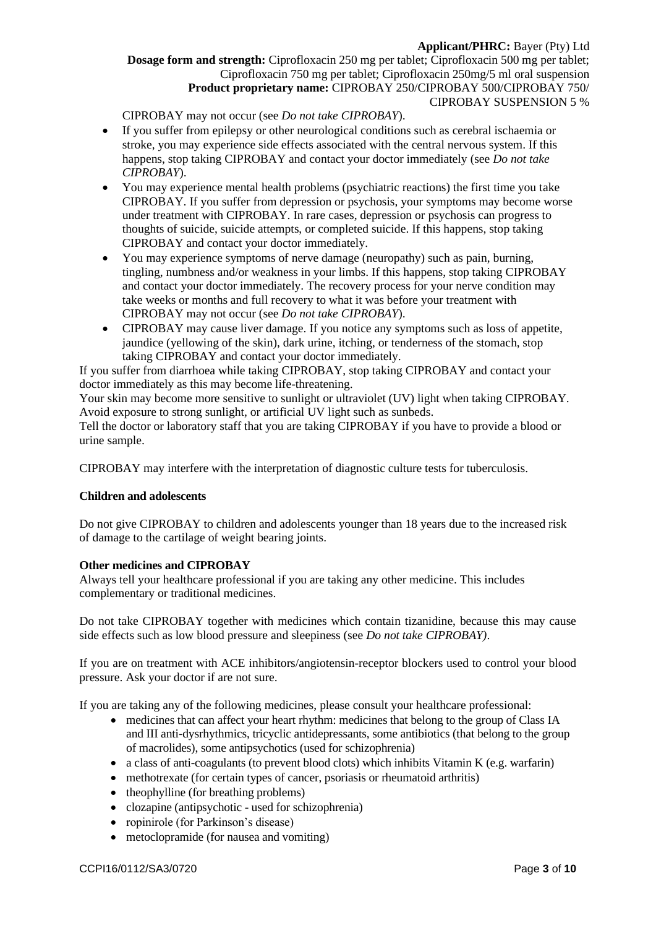CIPROBAY may not occur (see *Do not take CIPROBAY*).

- If you suffer from epilepsy or other neurological conditions such as cerebral ischaemia or stroke, you may experience side effects associated with the central nervous system. If this happens, stop taking CIPROBAY and contact your doctor immediately (see *Do not take CIPROBAY*).
- You may experience mental health problems (psychiatric reactions) the first time you take CIPROBAY. If you suffer from depression or psychosis, your symptoms may become worse under treatment with CIPROBAY. In rare cases, depression or psychosis can progress to thoughts of suicide, suicide attempts, or completed suicide. If this happens, stop taking CIPROBAY and contact your doctor immediately.
- You may experience symptoms of nerve damage (neuropathy) such as pain, burning, tingling, numbness and/or weakness in your limbs. If this happens, stop taking CIPROBAY and contact your doctor immediately. The recovery process for your nerve condition may take weeks or months and full recovery to what it was before your treatment with CIPROBAY may not occur (see *Do not take CIPROBAY*).
- CIPROBAY may cause liver damage. If you notice any symptoms such as loss of appetite, jaundice (yellowing of the skin), dark urine, itching, or tenderness of the stomach, stop taking CIPROBAY and contact your doctor immediately.

If you suffer from diarrhoea while taking CIPROBAY, stop taking CIPROBAY and contact your doctor immediately as this may become life-threatening.

Your skin may become more sensitive to sunlight or ultraviolet (UV) light when taking CIPROBAY. Avoid exposure to strong sunlight, or artificial UV light such as sunbeds.

Tell the doctor or laboratory staff that you are taking CIPROBAY if you have to provide a blood or urine sample.

CIPROBAY may interfere with the interpretation of diagnostic culture tests for tuberculosis.

# **Children and adolescents**

Do not give CIPROBAY to children and adolescents younger than 18 years due to the increased risk of damage to the cartilage of weight bearing joints.

### **Other medicines and CIPROBAY**

Always tell your healthcare professional if you are taking any other medicine. This includes complementary or traditional medicines.

Do not take CIPROBAY together with medicines which contain tizanidine, because this may cause side effects such as low blood pressure and sleepiness (see *Do not take CIPROBAY)*.

If you are on treatment with ACE inhibitors/angiotensin-receptor blockers used to control your blood pressure. Ask your doctor if are not sure.

If you are taking any of the following medicines, please consult your healthcare professional:

- medicines that can affect your heart rhythm: medicines that belong to the group of Class IA and III anti-dysrhythmics, tricyclic antidepressants, some antibiotics (that belong to the group of macrolides), some antipsychotics (used for schizophrenia)
- a class of anti-coagulants (to prevent blood clots) which inhibits Vitamin K (e.g. warfarin)
- methotrexate (for certain types of cancer, psoriasis or rheumatoid arthritis)
- theophylline (for breathing problems)
- clozapine (antipsychotic used for schizophrenia)
- ropinirole (for Parkinson's disease)
- metoclopramide (for nausea and vomiting)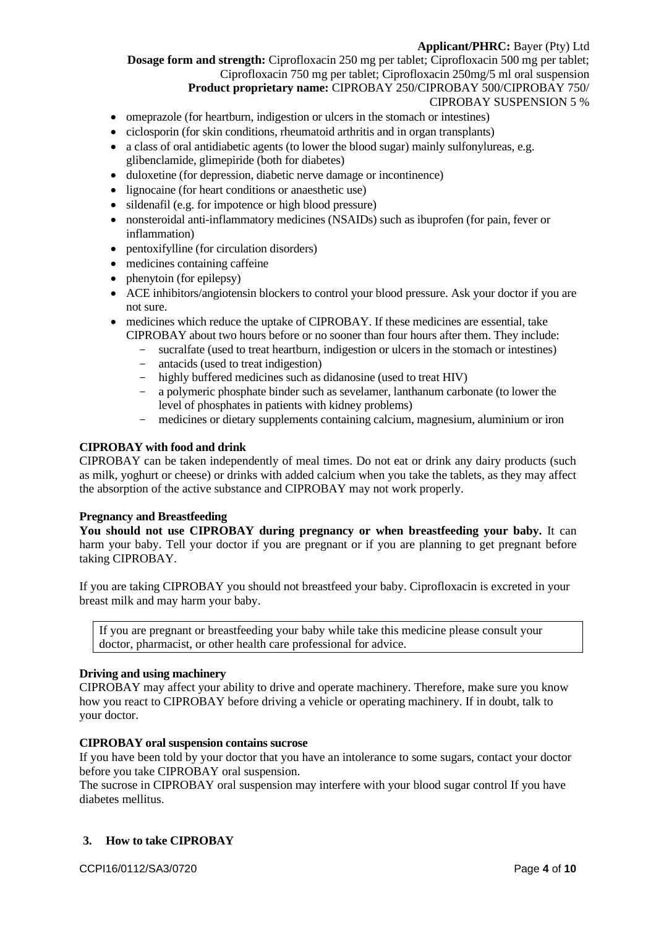**Dosage form and strength:** Ciprofloxacin 250 mg per tablet; Ciprofloxacin 500 mg per tablet; Ciprofloxacin 750 mg per tablet; Ciprofloxacin 250mg/5 ml oral suspension

# **Product proprietary name:** CIPROBAY 250/CIPROBAY 500/CIPROBAY 750/

# CIPROBAY SUSPENSION 5 %

- omeprazole (for heartburn, indigestion or ulcers in the stomach or intestines)
- ciclosporin (for skin conditions, rheumatoid arthritis and in organ transplants)
- a class of oral antidiabetic agents (to lower the blood sugar) mainly sulfonylureas, e.g. glibenclamide, glimepiride (both for diabetes)
- duloxetine (for depression, diabetic nerve damage or incontinence)
- lignocaine (for heart conditions or anaesthetic use)
- sildenafil (e.g. for impotence or high blood pressure)
- nonsteroidal anti-inflammatory medicines (NSAIDs) such as ibuprofen (for pain, fever or inflammation)
- pentoxifylline (for circulation disorders)
- medicines containing caffeine
- phenytoin (for epilepsy)
- ACE inhibitors/angiotensin blockers to control your blood pressure. Ask your doctor if you are not sure.
- medicines which reduce the uptake of CIPROBAY. If these medicines are essential, take CIPROBAY about two hours before or no sooner than four hours after them. They include:
	- sucralfate (used to treat heartburn, indigestion or ulcers in the stomach or intestines)
	- antacids (used to treat indigestion)
	- highly buffered medicines such as didanosine (used to treat HIV)
	- a polymeric phosphate binder such as sevelamer, lanthanum carbonate (to lower the level of phosphates in patients with kidney problems)
	- medicines or dietary supplements containing calcium, magnesium, aluminium or iron

# **CIPROBAY with food and drink**

CIPROBAY can be taken independently of meal times. Do not eat or drink any dairy products (such as milk, yoghurt or cheese) or drinks with added calcium when you take the tablets, as they may affect the absorption of the active substance and CIPROBAY may not work properly.

### **Pregnancy and Breastfeeding**

**You should not use CIPROBAY during pregnancy or when breastfeeding your baby.** It can harm your baby. Tell your doctor if you are pregnant or if you are planning to get pregnant before taking CIPROBAY.

If you are taking CIPROBAY you should not breastfeed your baby. Ciprofloxacin is excreted in your breast milk and may harm your baby.

If you are pregnant or breastfeeding your baby while take this medicine please consult your doctor, pharmacist, or other health care professional for advice.

### **Driving and using machinery**

CIPROBAY may affect your ability to drive and operate machinery. Therefore, make sure you know how you react to CIPROBAY before driving a vehicle or operating machinery. If in doubt, talk to your doctor.

### **CIPROBAY oral suspension contains sucrose**

If you have been told by your doctor that you have an intolerance to some sugars, contact your doctor before you take CIPROBAY oral suspension.

The sucrose in CIPROBAY oral suspension may interfere with your blood sugar control If you have diabetes mellitus.

# **3. How to take CIPROBAY**

CCPI16/0112/SA3/0720 Page **4** of **10**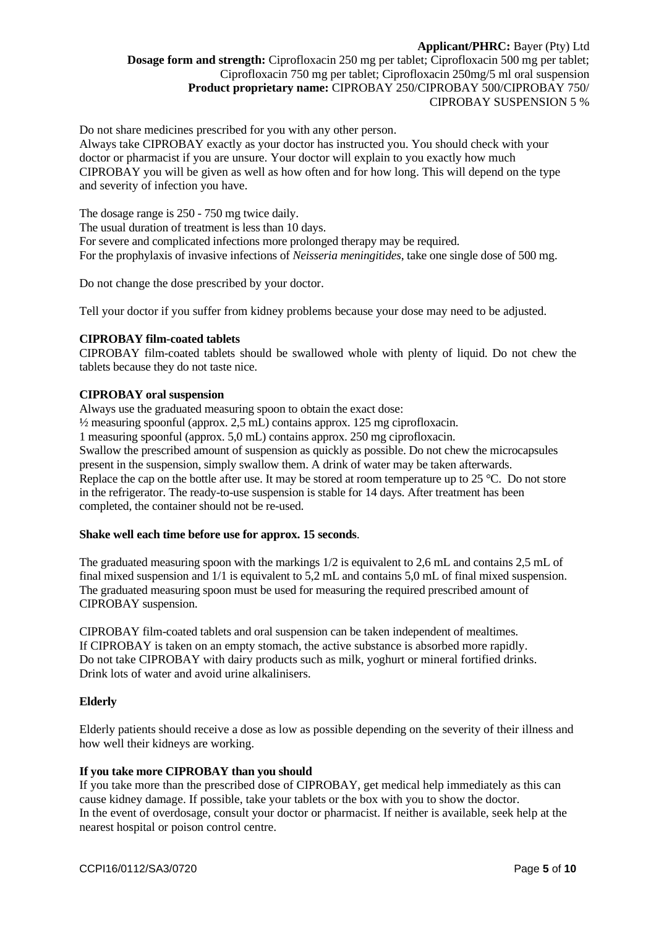Do not share medicines prescribed for you with any other person.

Always take CIPROBAY exactly as your doctor has instructed you. You should check with your doctor or pharmacist if you are unsure. Your doctor will explain to you exactly how much CIPROBAY you will be given as well as how often and for how long. This will depend on the type and severity of infection you have.

The dosage range is 250 - 750 mg twice daily. The usual duration of treatment is less than 10 days. For severe and complicated infections more prolonged therapy may be required. For the prophylaxis of invasive infections of *Neisseria meningitides*, take one single dose of 500 mg.

Do not change the dose prescribed by your doctor.

Tell your doctor if you suffer from kidney problems because your dose may need to be adjusted.

### **CIPROBAY film-coated tablets**

CIPROBAY film-coated tablets should be swallowed whole with plenty of liquid. Do not chew the tablets because they do not taste nice.

#### **CIPROBAY oral suspension**

Always use the graduated measuring spoon to obtain the exact dose:

½ measuring spoonful (approx. 2,5 mL) contains approx. 125 mg ciprofloxacin.

1 measuring spoonful (approx. 5,0 mL) contains approx. 250 mg ciprofloxacin.

Swallow the prescribed amount of suspension as quickly as possible. Do not chew the microcapsules present in the suspension, simply swallow them. A drink of water may be taken afterwards. Replace the cap on the bottle after use. It may be stored at room temperature up to 25 °C. Do not store in the refrigerator. The ready-to-use suspension is stable for 14 days. After treatment has been completed, the container should not be re-used.

### **Shake well each time before use for approx. 15 seconds**.

The graduated measuring spoon with the markings 1/2 is equivalent to 2,6 mL and contains 2,5 mL of final mixed suspension and 1/1 is equivalent to 5,2 mL and contains 5,0 mL of final mixed suspension. The graduated measuring spoon must be used for measuring the required prescribed amount of CIPROBAY suspension.

CIPROBAY film-coated tablets and oral suspension can be taken independent of mealtimes. If CIPROBAY is taken on an empty stomach, the active substance is absorbed more rapidly. Do not take CIPROBAY with dairy products such as milk, yoghurt or mineral fortified drinks. Drink lots of water and avoid urine alkalinisers.

#### **Elderly**

Elderly patients should receive a dose as low as possible depending on the severity of their illness and how well their kidneys are working.

# **If you take more CIPROBAY than you should**

If you take more than the prescribed dose of CIPROBAY, get medical help immediately as this can cause kidney damage. If possible, take your tablets or the box with you to show the doctor. In the event of overdosage, consult your doctor or pharmacist. If neither is available, seek help at the nearest hospital or poison control centre.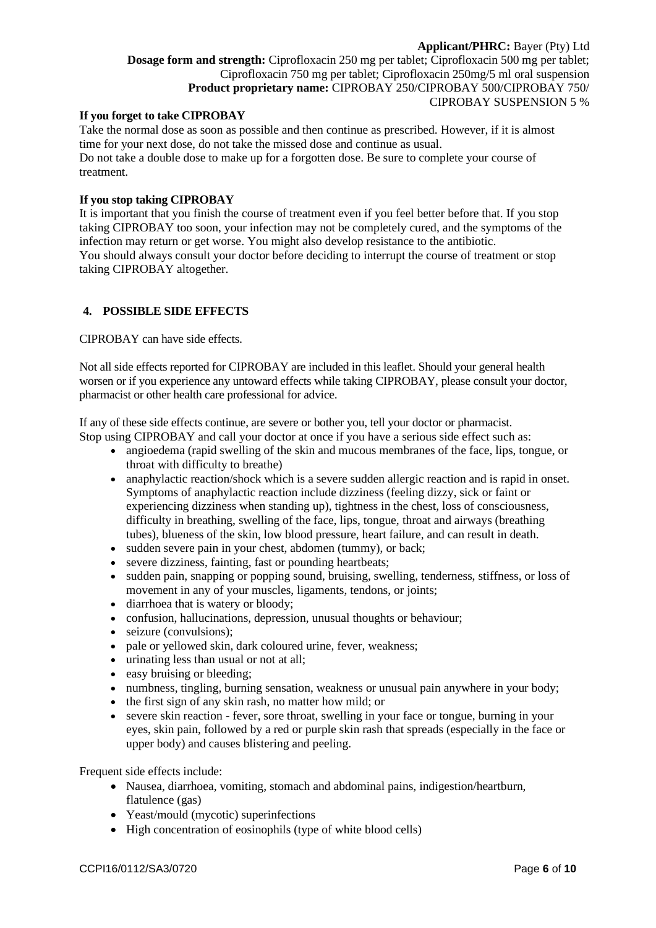### **If you forget to take CIPROBAY**

Take the normal dose as soon as possible and then continue as prescribed. However, if it is almost time for your next dose, do not take the missed dose and continue as usual. Do not take a double dose to make up for a forgotten dose. Be sure to complete your course of treatment.

### **If you stop taking CIPROBAY**

It is important that you finish the course of treatment even if you feel better before that. If you stop taking CIPROBAY too soon, your infection may not be completely cured, and the symptoms of the infection may return or get worse. You might also develop resistance to the antibiotic. You should always consult your doctor before deciding to interrupt the course of treatment or stop taking CIPROBAY altogether.

### **4. POSSIBLE SIDE EFFECTS**

CIPROBAY can have side effects.

Not all side effects reported for CIPROBAY are included in this leaflet. Should your general health worsen or if you experience any untoward effects while taking CIPROBAY, please consult your doctor, pharmacist or other health care professional for advice.

If any of these side effects continue, are severe or bother you, tell your doctor or pharmacist. Stop using CIPROBAY and call your doctor at once if you have a serious side effect such as:

- angioedema (rapid swelling of the skin and mucous membranes of the face, lips, tongue, or throat with difficulty to breathe)
- anaphylactic reaction/shock which is a severe sudden allergic reaction and is rapid in onset. Symptoms of anaphylactic reaction include dizziness (feeling dizzy, sick or faint or experiencing dizziness when standing up), tightness in the chest, loss of consciousness, difficulty in breathing, swelling of the face, lips, tongue, throat and airways (breathing tubes), blueness of the skin, low blood pressure, heart failure, and can result in death.
- sudden severe pain in your chest, abdomen (tummy), or back;
- severe dizziness, fainting, fast or pounding heartbeats;
- sudden pain, snapping or popping sound, bruising, swelling, tenderness, stiffness, or loss of movement in any of your muscles, ligaments, tendons, or joints;
- diarrhoea that is watery or bloody;
- confusion, hallucinations, depression, unusual thoughts or behaviour;
- seizure (convulsions);
- pale or yellowed skin, dark coloured urine, fever, weakness;
- urinating less than usual or not at all:
- easy bruising or bleeding;
- numbness, tingling, burning sensation, weakness or unusual pain anywhere in your body;
- the first sign of any skin rash, no matter how mild; or
- severe skin reaction fever, sore throat, swelling in your face or tongue, burning in your eyes, skin pain, followed by a red or purple skin rash that spreads (especially in the face or upper body) and causes blistering and peeling.

Frequent side effects include:

- Nausea, diarrhoea, vomiting, stomach and abdominal pains, indigestion/heartburn, flatulence (gas)
- Yeast/mould (mycotic) superinfections
- High concentration of eosinophils (type of white blood cells)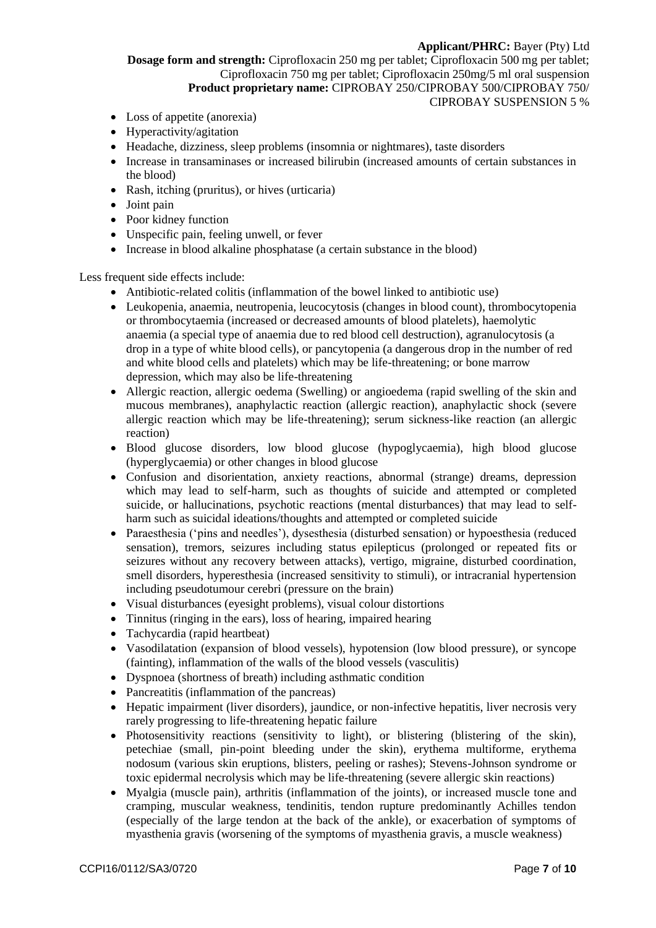**Dosage form and strength:** Ciprofloxacin 250 mg per tablet; Ciprofloxacin 500 mg per tablet; Ciprofloxacin 750 mg per tablet; Ciprofloxacin 250mg/5 ml oral suspension **Product proprietary name:** CIPROBAY 250/CIPROBAY 500/CIPROBAY 750/ CIPROBAY SUSPENSION 5 %

- Loss of appetite (anorexia)
- Hyperactivity/agitation
- Headache, dizziness, sleep problems (insomnia or nightmares), taste disorders
- Increase in transaminases or increased bilirubin (increased amounts of certain substances in the blood)
- Rash, itching (pruritus), or hives (urticaria)
- Joint pain
- Poor kidney function
- Unspecific pain, feeling unwell, or fever
- Increase in blood alkaline phosphatase (a certain substance in the blood)

Less frequent side effects include:

- Antibiotic-related colitis (inflammation of the bowel linked to antibiotic use)
- Leukopenia, anaemia, neutropenia, leucocytosis (changes in blood count), thrombocytopenia or thrombocytaemia (increased or decreased amounts of blood platelets), haemolytic anaemia (a special type of anaemia due to red blood cell destruction), agranulocytosis (a drop in a type of white blood cells), or pancytopenia (a dangerous drop in the number of red and white blood cells and platelets) which may be life-threatening; or bone marrow depression, which may also be life-threatening
- Allergic reaction, allergic oedema (Swelling) or angioedema (rapid swelling of the skin and mucous membranes), anaphylactic reaction (allergic reaction), anaphylactic shock (severe allergic reaction which may be life-threatening); serum sickness-like reaction (an allergic reaction)
- Blood glucose disorders, low blood glucose (hypoglycaemia), high blood glucose (hyperglycaemia) or other changes in blood glucose
- Confusion and disorientation, anxiety reactions, abnormal (strange) dreams, depression which may lead to self-harm, such as thoughts of suicide and attempted or completed suicide, or hallucinations, psychotic reactions (mental disturbances) that may lead to selfharm such as suicidal ideations/thoughts and attempted or completed suicide
- Paraesthesia ('pins and needles'), dysesthesia (disturbed sensation) or hypoesthesia (reduced sensation), tremors, seizures including status epilepticus (prolonged or repeated fits or seizures without any recovery between attacks), vertigo, migraine, disturbed coordination, smell disorders, hyperesthesia (increased sensitivity to stimuli), or intracranial hypertension including pseudotumour cerebri (pressure on the brain)
- Visual disturbances (eyesight problems), visual colour distortions
- Tinnitus (ringing in the ears), loss of hearing, impaired hearing
- Tachycardia (rapid heartbeat)
- Vasodilatation (expansion of blood vessels), hypotension (low blood pressure), or syncope (fainting), inflammation of the walls of the blood vessels (vasculitis)
- Dyspnoea (shortness of breath) including asthmatic condition
- Pancreatitis (inflammation of the pancreas)
- Hepatic impairment (liver disorders), jaundice, or non-infective hepatitis, liver necrosis very rarely progressing to life-threatening hepatic failure
- Photosensitivity reactions (sensitivity to light), or blistering (blistering of the skin), petechiae (small, pin-point bleeding under the skin), erythema multiforme, erythema nodosum (various skin eruptions, blisters, peeling or rashes); Stevens-Johnson syndrome or toxic epidermal necrolysis which may be life-threatening (severe allergic skin reactions)
- Myalgia (muscle pain), arthritis (inflammation of the joints), or increased muscle tone and cramping, muscular weakness, tendinitis, tendon rupture predominantly Achilles tendon (especially of the large tendon at the back of the ankle), or exacerbation of symptoms of myasthenia gravis (worsening of the symptoms of myasthenia gravis, a muscle weakness)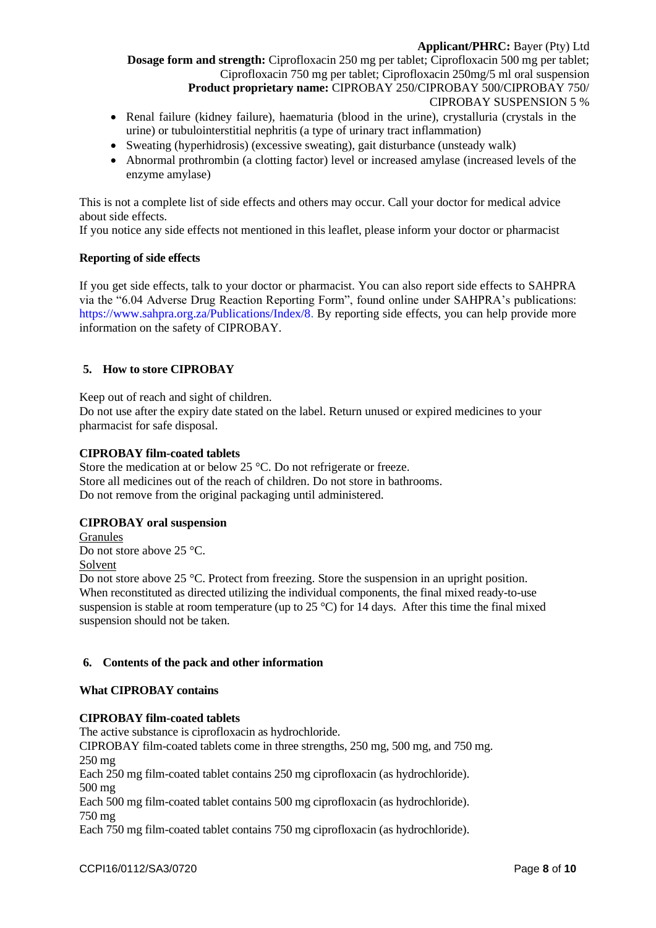- Renal failure (kidney failure), haematuria (blood in the urine), crystalluria (crystals in the urine) or tubulointerstitial nephritis (a type of urinary tract inflammation)
- Sweating (hyperhidrosis) (excessive sweating), gait disturbance (unsteady walk)
- Abnormal prothrombin (a clotting factor) level or increased amylase (increased levels of the enzyme amylase)

This is not a complete list of side effects and others may occur. Call your doctor for medical advice about side effects.

If you notice any side effects not mentioned in this leaflet, please inform your doctor or pharmacist

### **Reporting of side effects**

If you get side effects, talk to your doctor or pharmacist. You can also report side effects to SAHPRA via the "6.04 Adverse Drug Reaction Reporting Form", found online under SAHPRA's publications: [https://www.sahpra.org.za/Publications/Index/8.](https://www.sahpra.org.za/Publications/Index/8) By reporting side effects, you can help provide more information on the safety of CIPROBAY.

### **5. How to store CIPROBAY**

Keep out of reach and sight of children.

Do not use after the expiry date stated on the label. Return unused or expired medicines to your pharmacist for safe disposal.

#### **CIPROBAY film-coated tablets**

Store the medication at or below 25 °C. Do not refrigerate or freeze. Store all medicines out of the reach of children. Do not store in bathrooms. Do not remove from the original packaging until administered.

### **CIPROBAY oral suspension**

Granules Do not store above 25 °C. Solvent Do not store above 25 °C. Protect from freezing. Store the suspension in an upright position. When reconstituted as directed utilizing the individual components, the final mixed ready-to-use suspension is stable at room temperature (up to 25  $^{\circ}$ C) for 14 days. After this time the final mixed suspension should not be taken.

#### **6. Contents of the pack and other information**

#### **What CIPROBAY contains**

### **CIPROBAY film-coated tablets**

The active substance is ciprofloxacin as hydrochloride. CIPROBAY film-coated tablets come in three strengths, 250 mg, 500 mg, and 750 mg. 250 mg Each 250 mg film-coated tablet contains 250 mg ciprofloxacin (as hydrochloride). 500 mg Each 500 mg film-coated tablet contains 500 mg ciprofloxacin (as hydrochloride). 750 mg

Each 750 mg film-coated tablet contains 750 mg ciprofloxacin (as hydrochloride).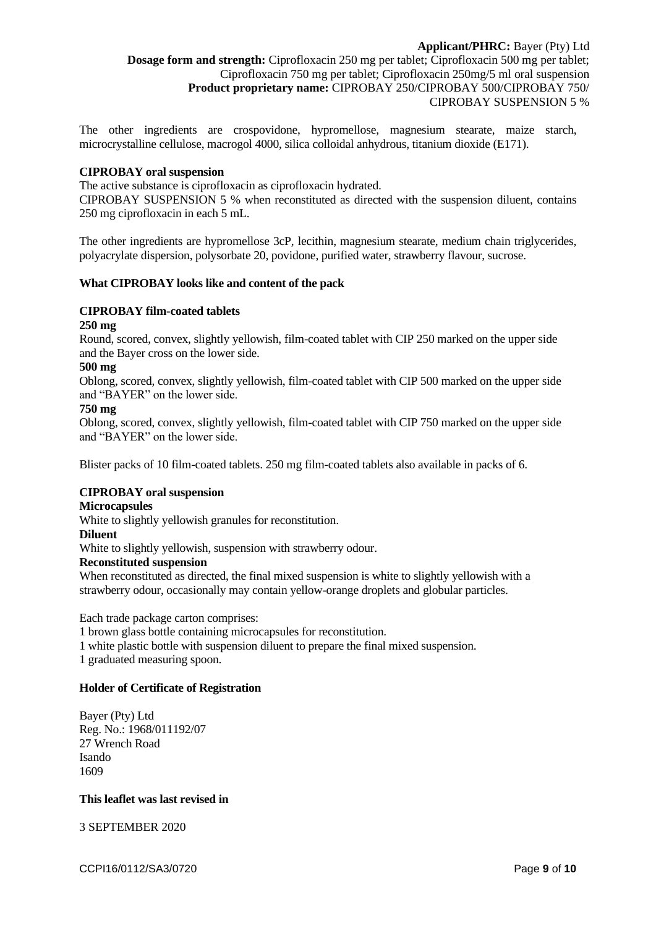The other ingredients are crospovidone, hypromellose, magnesium stearate, maize starch, microcrystalline cellulose, macrogol 4000, silica colloidal anhydrous, titanium dioxide (E171).

#### **CIPROBAY oral suspension**

The active substance is ciprofloxacin as ciprofloxacin hydrated.

CIPROBAY SUSPENSION 5 % when reconstituted as directed with the suspension diluent, contains 250 mg ciprofloxacin in each 5 mL.

The other ingredients are hypromellose 3cP, lecithin, magnesium stearate, medium chain triglycerides, polyacrylate dispersion, polysorbate 20, povidone, purified water, strawberry flavour, sucrose.

#### **What CIPROBAY looks like and content of the pack**

# **CIPROBAY film-coated tablets**

#### **250 mg**

Round, scored, convex, slightly yellowish, film-coated tablet with CIP 250 marked on the upper side and the Bayer cross on the lower side.

#### **500 mg**

Oblong, scored, convex, slightly yellowish, film-coated tablet with CIP 500 marked on the upper side and "BAYER" on the lower side.

#### **750 mg**

Oblong, scored, convex, slightly yellowish, film-coated tablet with CIP 750 marked on the upper side and "BAYER" on the lower side.

Blister packs of 10 film-coated tablets. 250 mg film-coated tablets also available in packs of 6.

#### **CIPROBAY oral suspension**

#### **Microcapsules**

White to slightly yellowish granules for reconstitution.

#### **Diluent**

White to slightly yellowish, suspension with strawberry odour.

#### **Reconstituted suspension**

When reconstituted as directed, the final mixed suspension is white to slightly yellowish with a strawberry odour, occasionally may contain yellow-orange droplets and globular particles.

Each trade package carton comprises:

1 brown glass bottle containing microcapsules for reconstitution.

1 white plastic bottle with suspension diluent to prepare the final mixed suspension. 1 graduated measuring spoon.

#### **Holder of Certificate of Registration**

Bayer (Pty) Ltd Reg. No.: 1968/011192/07 27 Wrench Road Isando 1609

#### **This leaflet was last revised in**

3 SEPTEMBER 2020